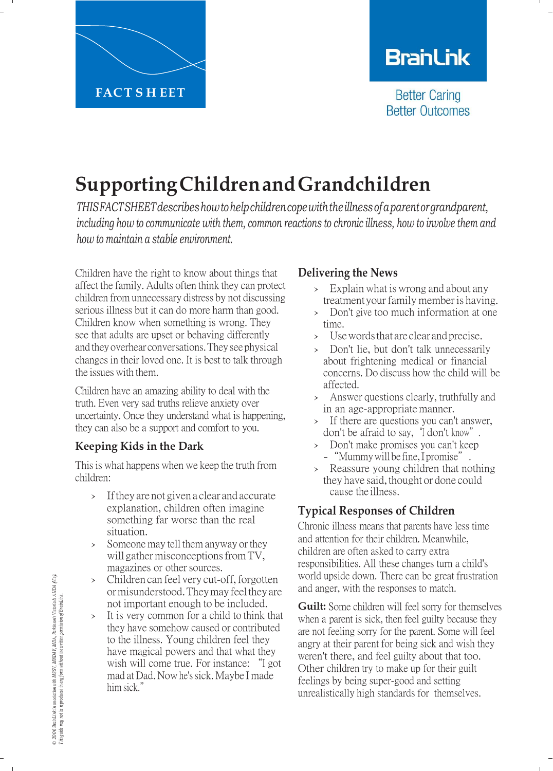

# **BranLink**

**Better Caring Better Outcomes** 

# **SupportingChildrenandGrandchildren**

*THISFACTSHEETdescribeshowtohelpchildrencopewiththeillnessofaparentorgrandparent, including how to communicate with them, common reactions to chronic illness, how to involve them and how to maintain a stable environment.*

Children have the right to know about things that affect the family. Adults often think they can protect children from unnecessary distress by not discussing serious illness but it can do more harm than good. Children know when something is wrong. They see that adults are upset or behaving differently and theyoverhear conversations.They see physical changes in their loved one. It is best to talk through the issues with them.

Children have an amazing ability to deal with the truth. Even very sad truths relieve anxiety over uncertainty. Once they understand what is happening, they can also be a support and comfort to you.

### **Keeping Kids in the Dark**

This is what happens when we keep the truth from children:

- › Ifthey are not given a clear and accurate explanation, children often imagine something far worse than the real situation.
- › Someone may tell them anyway or they will gather misconceptions from TV, magazines or other sources.
- › Children can feel very cut-off, forgotten ormisunderstood. They may feel they are not important enough to be included.
- It is very common for a child to think that they have somehow caused or contributed to the illness. Young children feel they have magical powers and that what they wish will come true. For instance: "I got mad at Dad. Now he's sick. Maybe I made him sick."

## **Delivering the News**

- Explain what is wrong and about any treatment your family member is having.
- › Don't give too much information at one time.
- › Use words that are clear and precise.
- Don't lie, but don't talk unnecessarily about frightening medical or financial concerns. Do discuss how the child will be affected.
- › Answer questions clearly, truthfully and in an age-appropriate manner.
- › If there are questions you can't answer, don't be afraid to say, "I don't know".
- › Don't make promises you can't keep
- "Mummy will be fine, I promise".
- › Reassure young children that nothing they have said, thought or done could cause the illness.

# **Typical Responses of Children**

Chronic illness means that parents have less time and attention for their children. Meanwhile, children are often asked to carry extra responsibilities. All these changes turn a child's world upside down. There can be great frustration and anger, with the responses to match.

**Guilt:** Some children will feel sorry for themselves when a parent is sick, then feel guilty because they are not feeling sorry for the parent. Some will feel angry at their parent for being sick and wish they weren't there, and feel guilty about that too. Other children try to make up for their guilt feelings by being super-good and setting unrealistically high standards for themselves.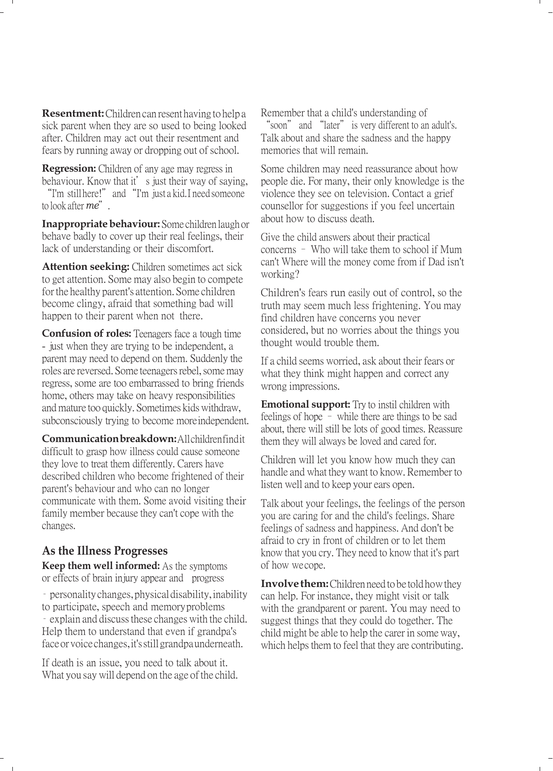**Resentment:** Children can resent having to help a sick parent when they are so used to being looked after. Children may act out their resentment and fears by running away or dropping out of school.

**Regression:** Children of any age may regress in behaviour. Know that it's just their way of saying, "I'm still here!" and "I'm just a kid. I need someone to look after *me*".

**Inappropriate behaviour:** Some children laugh or behave badly to cover up their real feelings, their lack of understanding or their discomfort.

**Attention seeking:** Children sometimes act sick to get attention. Some may also begin to compete for the healthy parent's attention. Some children become clingy, afraid that something bad will happen to their parent when not there.

**Confusion of roles:** Teenagers face a tough time - just when they are trying to be independent, a parent may need to depend on them. Suddenly the roles are reversed. Some teenagers rebel, somemay regress, some are too embarrassed to bring friends home, others may take on heavy responsibilities and mature too quickly. Sometimes kids withdraw, subconsciously trying to become more independent.

**Communication breakdown:** All children find it difficult to grasp how illness could cause someone they love to treat them differently. Carers have described children who become frightened of their parent's behaviour and who can no longer communicate with them. Some avoid visiting their family member because they can't cope with the changes.

#### **As the Illness Progresses**

**Keep them well informed:** As the symptoms or effects of brain injury appear and progress

– personality changes, physical disability, inability to participate, speech and memory problems

– explain and discuss these changes with the child. Help them to understand that even if grandpa's face orvoice changes, it'sstill grandpa underneath.

If death is an issue, you need to talk about it. What you say will depend on the age of the child. Remember that a child's understanding of "soon" and "later" is very different to an adult's. Talk about and share the sadness and the happy memories that will remain.

Some children may need reassurance about how people die. For many, their only knowledge is the violence they see on television. Contact a grief counsellor for suggestions if you feel uncertain about how to discuss death.

Give the child answers about their practical concerns – Who will take them to school if Mum can't Where will the money come from if Dad isn't working?

Children's fears run easily out of control, so the truth may seem much less frightening. You may find children have concerns you never considered, but no worries about the things you thought would trouble them.

If a child seems worried, ask about their fears or what they think might happen and correct any wrong impressions.

**Emotional support:** Try to instil children with feelings of hope – while there are things to be sad about, there will still be lots of good times. Reassure them they will always be loved and cared for.

Children will let you know how much they can handle and what they want to know. Remember to listen well and to keep your ears open.

Talk about your feelings, the feelings of the person you are caring for and the child's feelings. Share feelings of sadness and happiness. And don't be afraid to cry in front of children or to let them know that you cry. They need to know that it's part of how we cope.

**Involve them:** Children need to be told how they can help. For instance, they might visit or talk with the grandparent or parent. You may need to suggest things that they could do together. The child might be able to help the carer in someway, which helps them to feel that they are contributing.